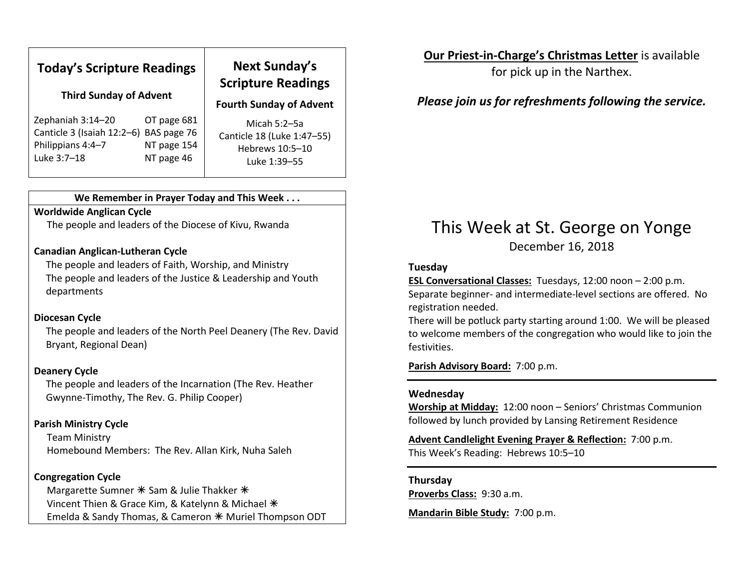| <b>Today's Scripture Readings</b><br><b>Third Sunday of Advent</b> |             | <b>Next Sunday's</b><br><b>Scripture Readings</b><br><b>Fourth Sunday of Advent</b> |
|--------------------------------------------------------------------|-------------|-------------------------------------------------------------------------------------|
| Zephaniah 3:14-20                                                  | OT page 681 | Micah $5:2-5a$                                                                      |
| Canticle 3 (Isaiah 12:2-6)                                         | BAS page 76 | Canticle 18 (Luke 1:47-55)                                                          |
| Philippians 4:4-7                                                  | NT page 154 | Hebrews 10:5-10                                                                     |
| Luke 3:7-18                                                        | NT page 46  | Luke 1:39-55                                                                        |

#### We Remember in Prayer Today and This Week . . .

#### Worldwide Anglican Cycle

The people and leaders of the Diocese of Kivu, Rwanda

#### Canadian Anglican-Lutheran Cycle

The people and leaders of Faith, Worship, and Ministry The people and leaders of the Justice & Leadership and Youth departments

#### Diocesan Cycle

The people and leaders of the North Peel Deanery (The Rev. David Bryant, Regional Dean)

#### Deanery Cycle

The people and leaders of the Incarnation (The Rev. Heather Gwynne-Timothy, The Rev. G. Philip Cooper)

#### Parish Ministry Cycle

Team Ministry Homebound Members: The Rev. Allan Kirk, Nuha Saleh

#### Congregation Cycle

Margarette Sumner  $*$  Sam & Julie Thakker  $*$ Vincent Thien & Grace Kim, & Katelynn & Michael \* Emelda & Sandy Thomas, & Cameron  $*$  Muriel Thompson ODT

### Our Priest-in-Charge's Christmas Letter is available

for pick up in the Narthex.

## Please join us for refreshments following the service.

# This Week at St. George on Yonge December 16, 2018

#### Tuesday

ESL Conversational Classes: Tuesdays, 12:00 noon – 2:00 p.m. Separate beginner- and intermediate-level sections are offered. No registration needed.

There will be potluck party starting around 1:00. We will be pleased to welcome members of the congregation who would like to join the festivities.

Parish Advisory Board: 7:00 p.m.

#### Wednesday

Worship at Midday: 12:00 noon – Seniors' Christmas Communion followed by lunch provided by Lansing Retirement Residence

Advent Candlelight Evening Prayer & Reflection: 7:00 p.m. This Week's Reading: Hebrews 10:5–10

# Thursday

Proverbs Class: 9:30 a.m.

Mandarin Bible Study: 7:00 p.m.